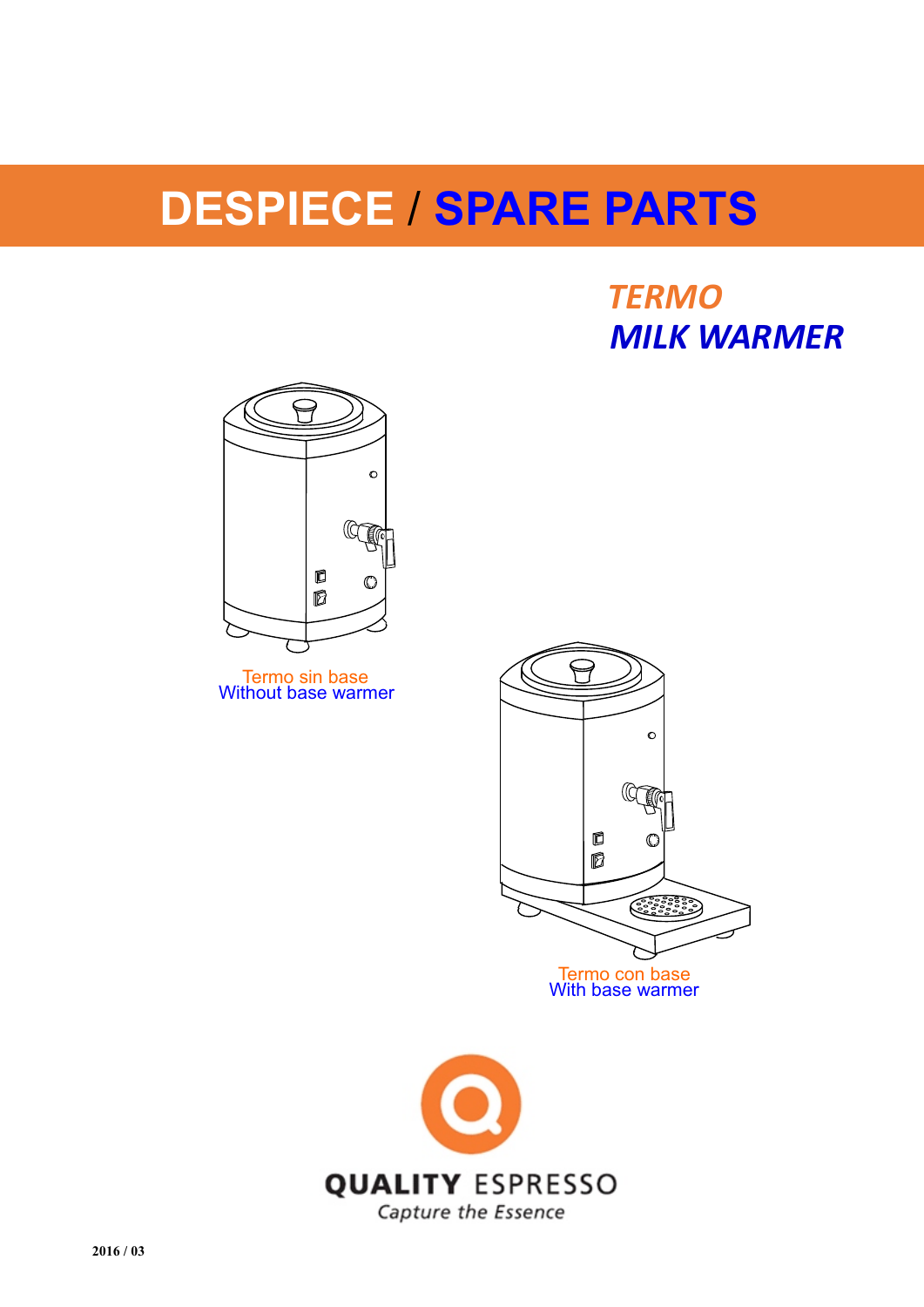# **DESPIECE** / **SPARE PARTS**

*TERMO MILK WARMER*



Termo sin base Without base warmer



Termo con base With base warmer

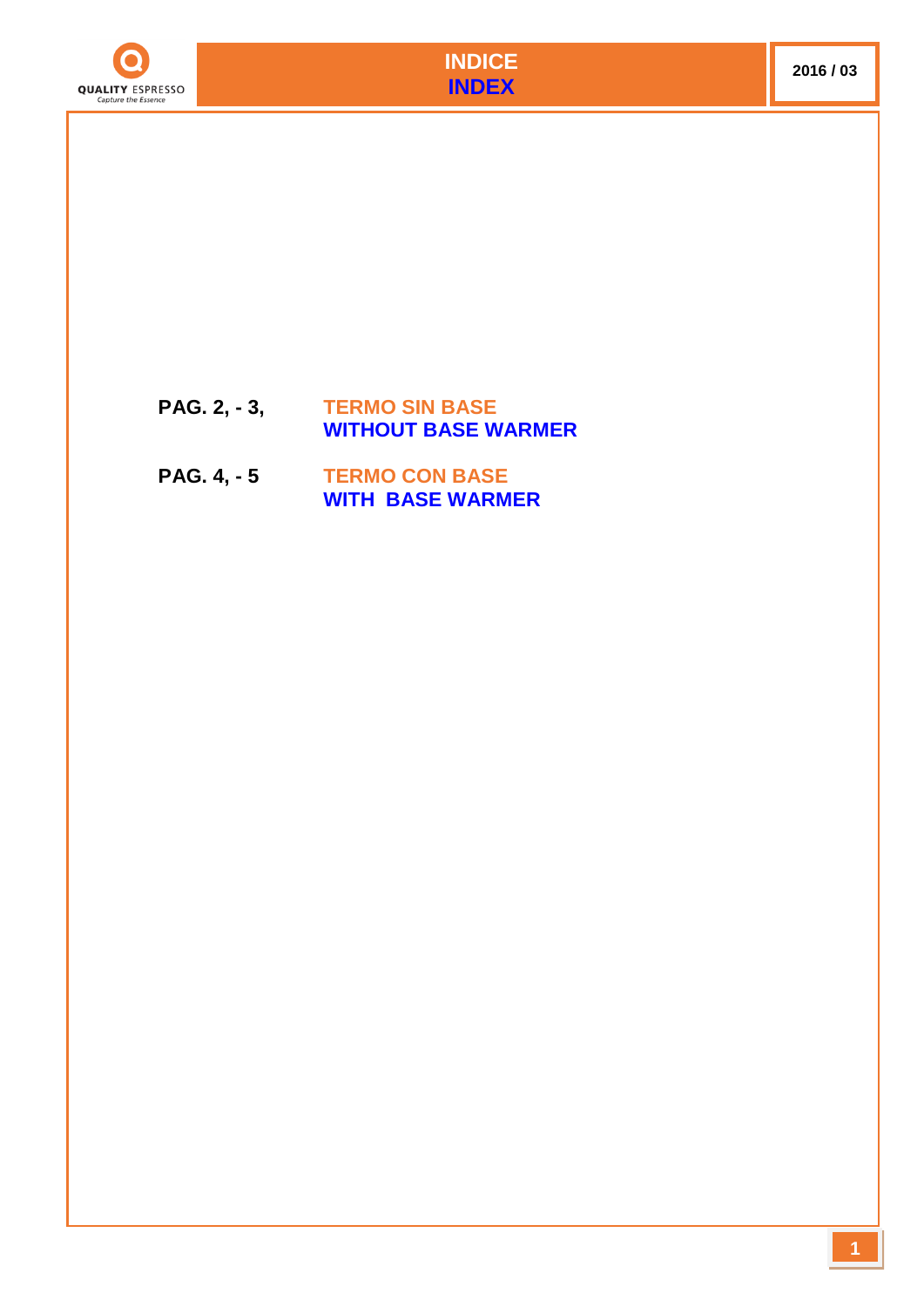



### **PAG. 2, - 3, TERMO SIN BASE WITHOUT BASE WARMER**

## **PAG. 4, - 5 TERMO CON BASE WITH BASE WARMER**

**1**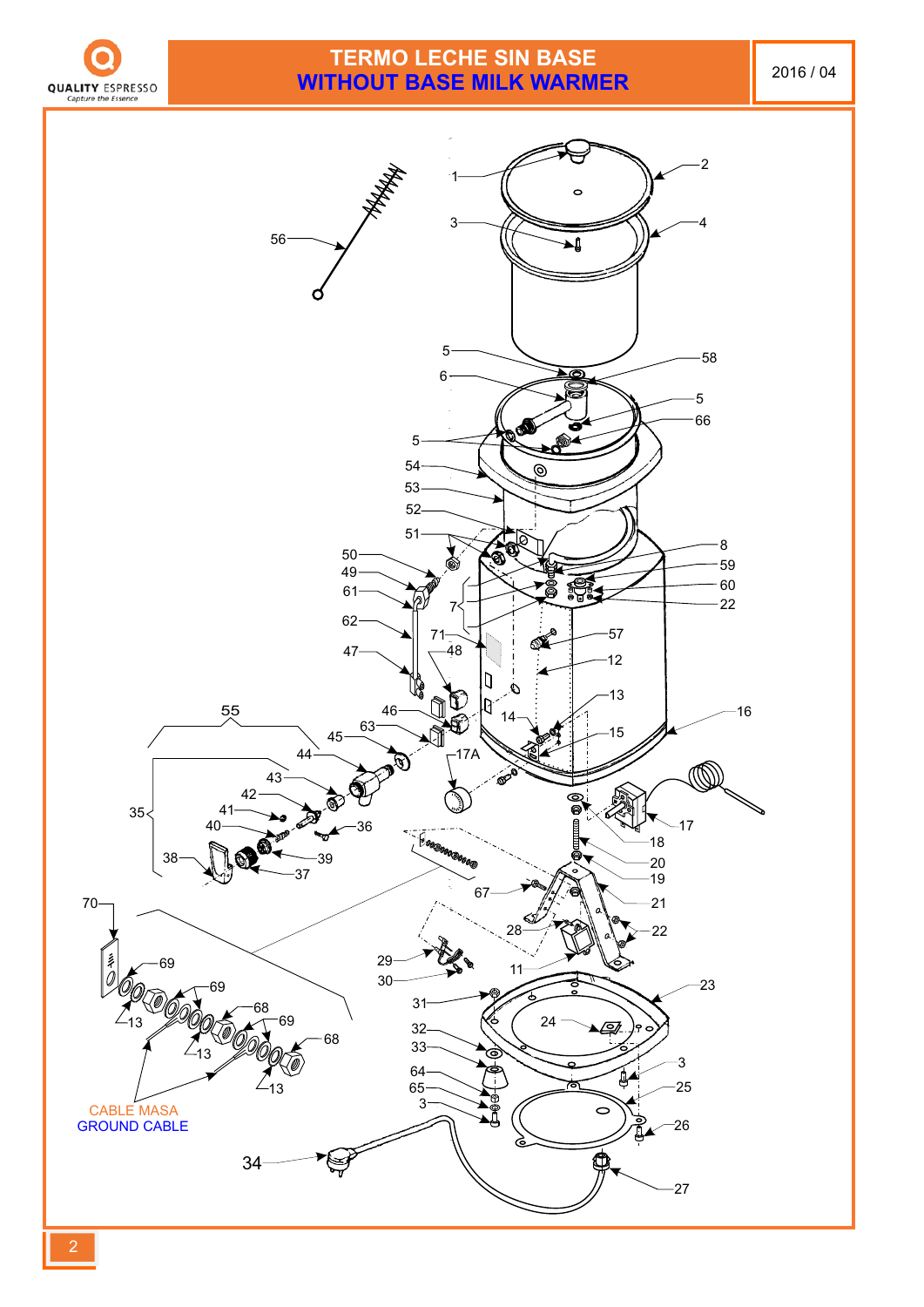

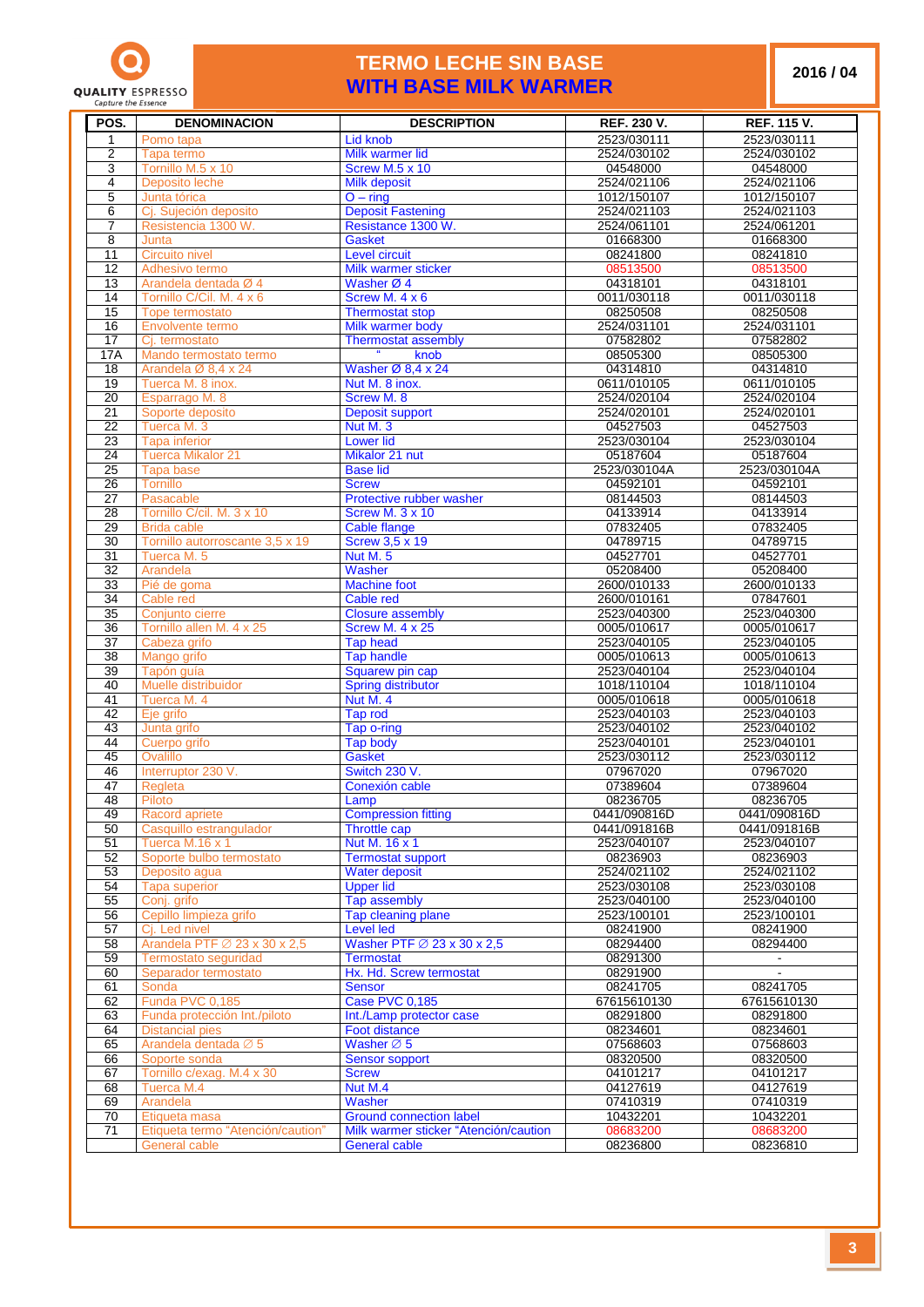

#### **TERMO LECHE SIN BASE WITH BASE MILK WARMER**

**/ 04**

| POS.                               | <b>DENOMINACION</b>                                | <b>DESCRIPTION</b>                                            | <b>REF. 230 V.</b>         | <b>REF. 115 V.</b>          |
|------------------------------------|----------------------------------------------------|---------------------------------------------------------------|----------------------------|-----------------------------|
| 1                                  | Pomo tapa                                          | Lid knob                                                      | 2523/030111                | 2523/030111                 |
| $\overline{2}$                     | Tapa termo                                         | Milk warmer lid                                               | 2524/030102                | 2524/030102                 |
| 3                                  | Tornillo M.5 x 10                                  | Screw M.5 x 10                                                | 04548000                   | 04548000                    |
| 4                                  | Deposito leche                                     | <b>Milk deposit</b>                                           | 2524/021106                | 2524/021106                 |
| 5                                  | Junta tórica                                       | $O - ring$                                                    | 1012/150107                | 1012/150107                 |
| 6                                  | Cj. Sujeción deposito                              | <b>Deposit Fastening</b>                                      | 2524/021103                | 2524/021103                 |
| $\overline{7}$                     | Resistencia 1300 W.                                | Resistance 1300 W.                                            | 2524/061101                | 2524/061201                 |
| 8                                  | Junta                                              | Gasket                                                        | 01668300                   | 01668300                    |
| 11                                 | Circuito nivel                                     | Level circuit                                                 | 08241800                   | 08241810                    |
| 12                                 | Adhesivo termo                                     | Milk warmer sticker                                           | 08513500                   | 08513500                    |
| 13                                 | Arandela dentada Ø 4                               | Washer Ø 4                                                    | 04318101                   | 04318101                    |
| 14                                 | Tornillo C/Cil. M. 4 x 6                           | Screw M. 4 x 6                                                | 0011/030118                | 0011/030118                 |
| 15                                 | Tope termostato                                    | <b>Thermostat stop</b>                                        | 08250508                   | 08250508                    |
| 16                                 | Envolvente termo                                   | Milk warmer body                                              | 2524/031101                | 2524/031101                 |
| $\overline{17}$                    | Cj. termostato                                     | <b>Thermostat assembly</b><br>$\boldsymbol{u}$                | 07582802                   | 07582802                    |
| 17A<br>18                          | Mando termostato termo<br>Arandela Ø 8,4 x 24      | knob<br>Washer $\varnothing$ 8,4 x 24                         | 08505300<br>04314810       | 08505300<br>04314810        |
| $\overline{19}$                    | Tuerca M. 8 inox.                                  | Nut M. 8 inox.                                                | 0611/010105                | 0611/010105                 |
| 20                                 | Esparrago M. 8                                     | Screw M. 8                                                    | 2524/020104                | 2524/020104                 |
| $\overline{21}$                    | Soporte deposito                                   | <b>Deposit support</b>                                        | 2524/020101                | 2524/020101                 |
| 22                                 | Tuerca M. 3                                        | Nut M. 3                                                      | 04527503                   | 04527503                    |
| $\overline{23}$                    | Tapa inferior                                      | <b>Lower lid</b>                                              | 2523/030104                | 2523/030104                 |
| 24                                 | Tuerca Mikalor 21                                  | Mikalor 21 nut                                                | 05187604                   | 05187604                    |
| $\overline{25}$                    | <b>Tapa base</b>                                   | <b>Base lid</b>                                               | 2523/030104A               | 2523/030104A                |
| 26                                 | Tornillo                                           | <b>Screw</b>                                                  | 04592101                   | 04592101                    |
| 27                                 | Pasacable                                          | Protective rubber washer                                      | 08144503                   | 08144503                    |
| 28                                 | Tornillo C/cil. M. 3 x 10                          | <b>Screw M. 3 x 10</b>                                        | 04133914                   | 04133914                    |
| 29                                 | <b>Brida cable</b>                                 | <b>Cable flange</b>                                           | 07832405                   | 07832405                    |
| $\overline{30}$                    | Tornillo autorroscante 3,5 x 19                    | <b>Screw 3,5 x 19</b>                                         | 04789715                   | 04789715                    |
| $\overline{31}$<br>$\overline{32}$ | Tuerca M. 5<br>Arandela                            | <b>Nut M. 5</b><br>Washer                                     | 04527701<br>05208400       | 04527701<br>05208400        |
| 33                                 | Pié de goma                                        | <b>Machine foot</b>                                           | 2600/010133                | 2600/010133                 |
| $\overline{34}$                    | Cable red                                          | Cable red                                                     | 2600/010161                | 07847601                    |
| $\overline{35}$                    | Conjunto cierre                                    | <b>Closure assembly</b>                                       | 2523/040300                | 2523/040300                 |
| $\overline{36}$                    | Tornillo allen M. 4 x 25                           | <b>Screw M. 4 x 25</b>                                        | 0005/010617                | 0005/010617                 |
| $\overline{37}$                    | Cabeza grifo                                       | <b>Tap head</b>                                               | 2523/040105                | 2523/040105                 |
| $\overline{38}$                    | Mango grifo                                        | <b>Tap handle</b>                                             | 0005/010613                | 0005/010613                 |
| 39                                 | Tapón guía                                         | Squarew pin cap                                               | 2523/040104                | 2523/040104                 |
| 40                                 | Muelle distribuidor                                | <b>Spring distributor</b>                                     | 1018/110104                | 1018/110104                 |
| 41<br>42                           | Tuerca M. 4<br>Eje grifo                           | Nut M. 4<br>Tap rod                                           | 0005/010618<br>2523/040103 | 0005/010618<br>2523/040103  |
| 43                                 | Junta grifo                                        | Tap o-ring                                                    | 2523/040102                | 2523/040102                 |
| 44                                 | Cuerpo grifo                                       | Tap body                                                      | 2523/040101                | 2523/040101                 |
| 45                                 | Ovalillo                                           | <b>Gasket</b>                                                 | 2523/030112                | 2523/030112                 |
| 46                                 | Interruptor 230 V.                                 | Switch 230 V.                                                 | 07967020                   | 07967020                    |
| $\overline{47}$                    | Regleta                                            | Conexión cable                                                | 07389604                   | 07389604                    |
| $\overline{48}$                    | Piloto                                             | Lamp                                                          | 08236705                   | 08236705                    |
| 49                                 | Racord apriete                                     | <b>Compression fitting</b>                                    | 0441/090816D               | 0441/090816D                |
| 50                                 | Casquillo estrangulador                            | Throttle cap                                                  | 0441/091816B               | 0441/091816B<br>2523/040107 |
| 51<br>52                           | Tuerca M.16 x 1<br>Soporte bulbo termostato        | Nut M. 16 x 1<br><b>Termostat support</b>                     | 2523/040107<br>08236903    | 08236903                    |
| 53                                 | Deposito agua                                      | <b>Water deposit</b>                                          | 2524/021102                | 2524/021102                 |
| 54                                 | <b>Tapa superior</b>                               | <b>Upper lid</b>                                              | 2523/030108                | 2523/030108                 |
| 55                                 | Conj. grifo                                        | Tap assembly                                                  | 2523/040100                | 2523/040100                 |
| 56                                 | Cepillo limpieza grifo                             | Tap cleaning plane                                            | 2523/100101                | 2523/100101                 |
| 57                                 | Ci. Led nivel                                      | <b>Level led</b>                                              | 08241900                   | 08241900                    |
| 58                                 | Arandela PTF $\varnothing$ 23 x 30 x 2,5           | Washer PTF $\varnothing$ 23 x 30 x 2,5                        | 08294400                   | 08294400                    |
| 59                                 | Termostato seguridad                               | <b>Termostat</b>                                              | 08291300                   |                             |
| 60                                 | Separador termostato                               | Hx. Hd. Screw termostat                                       | 08291900                   | 08241705                    |
| 61<br>62                           | Sonda<br>Funda PVC 0,185                           | <b>Sensor</b><br><b>Case PVC 0,185</b>                        | 08241705<br>67615610130    | 67615610130                 |
| 63                                 | Funda protección Int./piloto                       | Int./Lamp protector case                                      | 08291800                   | 08291800                    |
| 64                                 | <b>Distancial pies</b>                             | Foot distance                                                 | 08234601                   | 08234601                    |
| 65                                 | Arandela dentada Ø 5                               | Washer $\varnothing$ 5                                        | 07568603                   | 07568603                    |
| 66                                 | Soporte sonda                                      | <b>Sensor sopport</b>                                         | 08320500                   | 08320500                    |
| 67                                 | Tornillo c/exag. M.4 x 30                          | <b>Screw</b>                                                  | 04101217                   | 04101217                    |
| 68                                 | Tuerca M.4                                         | Nut M.4                                                       | 04127619                   | 04127619                    |
| 69                                 | Arandela                                           | Washer                                                        | 07410319                   | 07410319                    |
| 70                                 | Etiqueta masa                                      | <b>Ground connection label</b>                                | 10432201                   | 10432201                    |
| 71                                 | Etiqueta termo "Atención/caution"<br>General cable | Milk warmer sticker "Atención/caution<br><b>General cable</b> | 08683200<br>08236800       | 08683200<br>08236810        |
|                                    |                                                    |                                                               |                            |                             |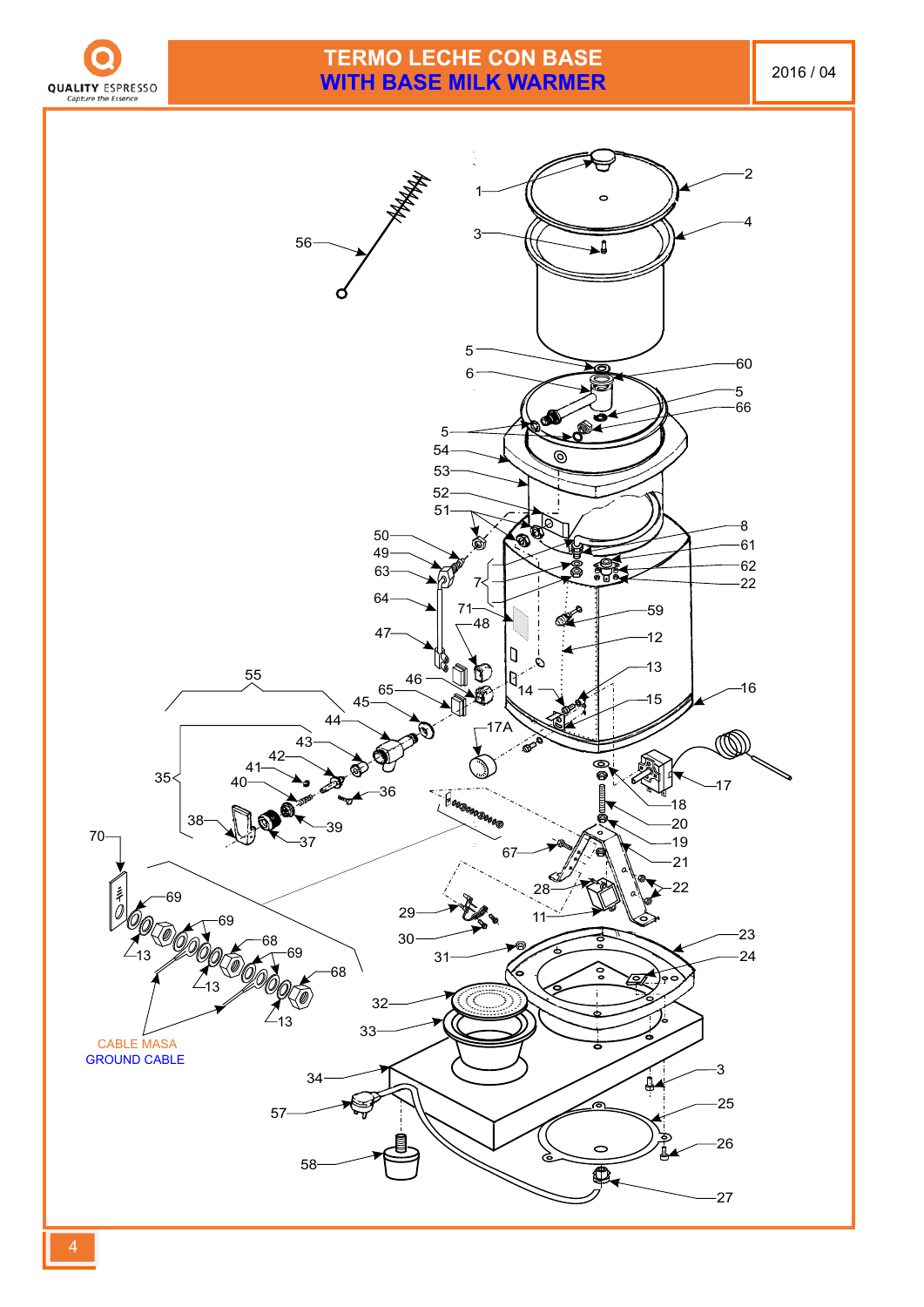

# **TERMO LECHE CON BASE WITH BASE MILK WARMER** 2016/04